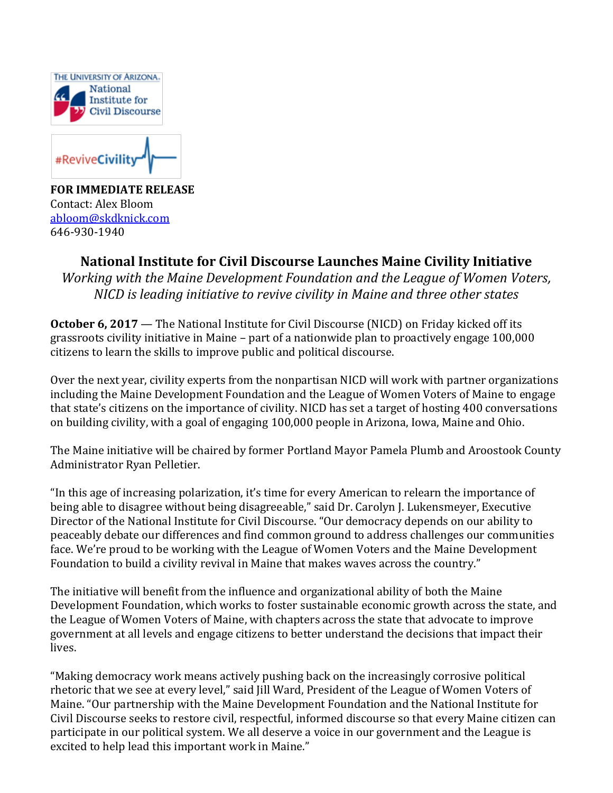

#ReviveCivility

**FOR IMMEDIATE RELEASE** Contact: Alex Bloom [abloom@skdknick.com](mailto:abloom@skdknick.com) 646-930-1940

## **National Institute for Civil Discourse Launches Maine Civility Initiative**

*Working with the Maine Development Foundation and the League of Women Voters, NICD is leading initiative to revive civility in Maine and three other states*

**October 6, 2017** — The National Institute for Civil Discourse (NICD) on Friday kicked off its grassroots civility initiative in Maine – part of a nationwide plan to proactively engage 100,000 citizens to learn the skills to improve public and political discourse.

Over the next year, civility experts from the nonpartisan NICD will work with partner organizations including the Maine Development Foundation and the League of Women Voters of Maine to engage that state's citizens on the importance of civility. NICD has set a target of hosting 400 conversations on building civility, with a goal of engaging 100,000 people in Arizona, Iowa, Maine and Ohio.

The Maine initiative will be chaired by former Portland Mayor Pamela Plumb and Aroostook County Administrator Ryan Pelletier.

"In this age of increasing polarization, it's time for every American to relearn the importance of being able to disagree without being disagreeable," said Dr. Carolyn J. Lukensmeyer, Executive Director of the National Institute for Civil Discourse. "Our democracy depends on our ability to peaceably debate our differences and find common ground to address challenges our communities face. We're proud to be working with the League of Women Voters and the Maine Development Foundation to build a civility revival in Maine that makes waves across the country."

The initiative will benefit from the influence and organizational ability of both the Maine Development Foundation, which works to foster sustainable economic growth across the state, and the League of Women Voters of Maine, with chapters across the state that advocate to improve government at all levels and engage citizens to better understand the decisions that impact their lives.

"Making democracy work means actively pushing back on the increasingly corrosive political rhetoric that we see at every level," said Jill Ward, President of the League of Women Voters of Maine. "Our partnership with the Maine Development Foundation and the National Institute for Civil Discourse seeks to restore civil, respectful, informed discourse so that every Maine citizen can participate in our political system. We all deserve a voice in our government and the League is excited to help lead this important work in Maine."